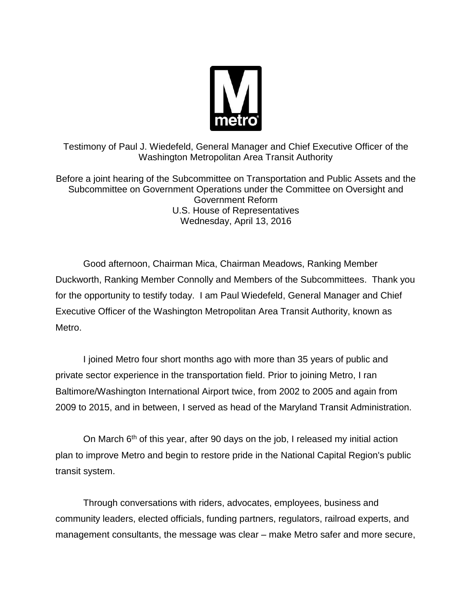

Testimony of Paul J. Wiedefeld, General Manager and Chief Executive Officer of the Washington Metropolitan Area Transit Authority

Before a joint hearing of the Subcommittee on Transportation and Public Assets and the Subcommittee on Government Operations under the Committee on Oversight and Government Reform U.S. House of Representatives Wednesday, April 13, 2016

Good afternoon, Chairman Mica, Chairman Meadows, Ranking Member Duckworth, Ranking Member Connolly and Members of the Subcommittees. Thank you for the opportunity to testify today. I am Paul Wiedefeld, General Manager and Chief Executive Officer of the Washington Metropolitan Area Transit Authority, known as Metro.

I joined Metro four short months ago with more than 35 years of public and private sector experience in the transportation field. Prior to joining Metro, I ran Baltimore/Washington International Airport twice, from 2002 to 2005 and again from 2009 to 2015, and in between, I served as head of the Maryland Transit Administration.

On March  $6<sup>th</sup>$  of this year, after 90 days on the job, I released my initial action plan to improve Metro and begin to restore pride in the National Capital Region's public transit system.

Through conversations with riders, advocates, employees, business and community leaders, elected officials, funding partners, regulators, railroad experts, and management consultants, the message was clear – make Metro safer and more secure,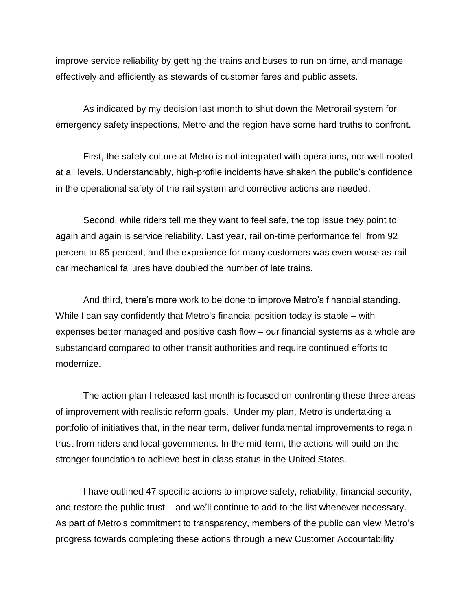improve service reliability by getting the trains and buses to run on time, and manage effectively and efficiently as stewards of customer fares and public assets.

As indicated by my decision last month to shut down the Metrorail system for emergency safety inspections, Metro and the region have some hard truths to confront.

First, the safety culture at Metro is not integrated with operations, nor well-rooted at all levels. Understandably, high-profile incidents have shaken the public's confidence in the operational safety of the rail system and corrective actions are needed.

Second, while riders tell me they want to feel safe, the top issue they point to again and again is service reliability. Last year, rail on-time performance fell from 92 percent to 85 percent, and the experience for many customers was even worse as rail car mechanical failures have doubled the number of late trains.

And third, there's more work to be done to improve Metro's financial standing. While I can say confidently that Metro's financial position today is stable – with expenses better managed and positive cash flow – our financial systems as a whole are substandard compared to other transit authorities and require continued efforts to modernize.

The action plan I released last month is focused on confronting these three areas of improvement with realistic reform goals. Under my plan, Metro is undertaking a portfolio of initiatives that, in the near term, deliver fundamental improvements to regain trust from riders and local governments. In the mid-term, the actions will build on the stronger foundation to achieve best in class status in the United States.

I have outlined 47 specific actions to improve safety, reliability, financial security, and restore the public trust – and we'll continue to add to the list whenever necessary. As part of Metro's commitment to transparency, members of the public can view Metro's progress towards completing these actions through a new Customer Accountability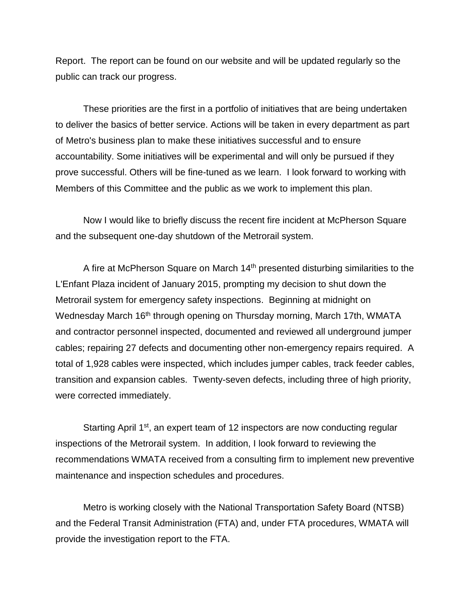Report. The report can be found on our website and will be updated regularly so the public can track our progress.

These priorities are the first in a portfolio of initiatives that are being undertaken to deliver the basics of better service. Actions will be taken in every department as part of Metro's business plan to make these initiatives successful and to ensure accountability. Some initiatives will be experimental and will only be pursued if they prove successful. Others will be fine-tuned as we learn. I look forward to working with Members of this Committee and the public as we work to implement this plan.

Now I would like to briefly discuss the recent fire incident at McPherson Square and the subsequent one-day shutdown of the Metrorail system.

A fire at McPherson Square on March 14<sup>th</sup> presented disturbing similarities to the L'Enfant Plaza incident of January 2015, prompting my decision to shut down the Metrorail system for emergency safety inspections. Beginning at midnight on Wednesday March 16<sup>th</sup> through opening on Thursday morning, March 17th, WMATA and contractor personnel inspected, documented and reviewed all underground jumper cables; repairing 27 defects and documenting other non-emergency repairs required. A total of 1,928 cables were inspected, which includes jumper cables, track feeder cables, transition and expansion cables. Twenty-seven defects, including three of high priority, were corrected immediately.

Starting April 1<sup>st</sup>, an expert team of 12 inspectors are now conducting regular inspections of the Metrorail system. In addition, I look forward to reviewing the recommendations WMATA received from a consulting firm to implement new preventive maintenance and inspection schedules and procedures.

Metro is working closely with the National Transportation Safety Board (NTSB) and the Federal Transit Administration (FTA) and, under FTA procedures, WMATA will provide the investigation report to the FTA.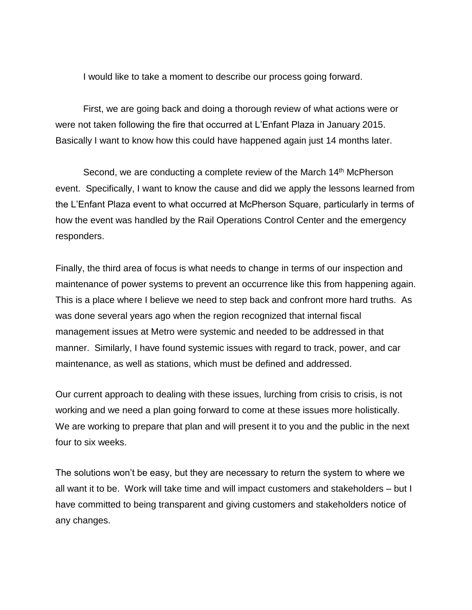I would like to take a moment to describe our process going forward.

First, we are going back and doing a thorough review of what actions were or were not taken following the fire that occurred at L'Enfant Plaza in January 2015. Basically I want to know how this could have happened again just 14 months later.

Second, we are conducting a complete review of the March 14<sup>th</sup> McPherson event. Specifically, I want to know the cause and did we apply the lessons learned from the L'Enfant Plaza event to what occurred at McPherson Square, particularly in terms of how the event was handled by the Rail Operations Control Center and the emergency responders.

Finally, the third area of focus is what needs to change in terms of our inspection and maintenance of power systems to prevent an occurrence like this from happening again. This is a place where I believe we need to step back and confront more hard truths. As was done several years ago when the region recognized that internal fiscal management issues at Metro were systemic and needed to be addressed in that manner. Similarly, I have found systemic issues with regard to track, power, and car maintenance, as well as stations, which must be defined and addressed.

Our current approach to dealing with these issues, lurching from crisis to crisis, is not working and we need a plan going forward to come at these issues more holistically. We are working to prepare that plan and will present it to you and the public in the next four to six weeks.

The solutions won't be easy, but they are necessary to return the system to where we all want it to be. Work will take time and will impact customers and stakeholders – but I have committed to being transparent and giving customers and stakeholders notice of any changes.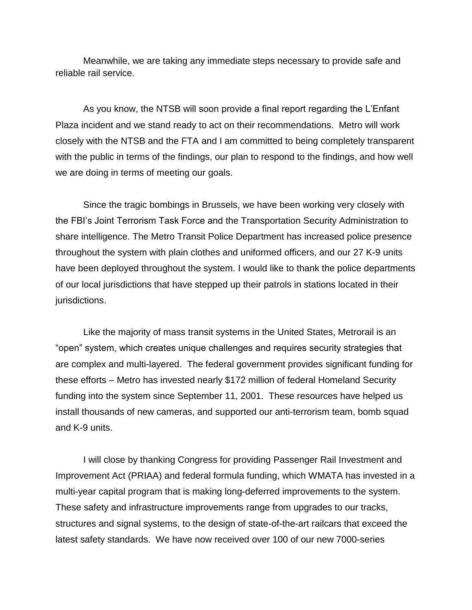Meanwhile, we are taking any immediate steps necessary to provide safe and reliable rail service.

As you know, the NTSB will soon provide a final report regarding the L'Enfant Plaza incident and we stand ready to act on their recommendations. Metro will work closely with the NTSB and the FTA and I am committed to being completely transparent with the public in terms of the findings, our plan to respond to the findings, and how well we are doing in terms of meeting our goals.

Since the tragic bombings in Brussels, we have been working very closely with the FBI's Joint Terrorism Task Force and the Transportation Security Administration to share intelligence. The Metro Transit Police Department has increased police presence throughout the system with plain clothes and uniformed officers, and our 27 K-9 units have been deployed throughout the system. I would like to thank the police departments of our local jurisdictions that have stepped up their patrols in stations located in their jurisdictions.

Like the majority of mass transit systems in the United States, Metrorail is an "open" system, which creates unique challenges and requires security strategies that are complex and multi-layered. The federal government provides significant funding for these efforts – Metro has invested nearly \$172 million of federal Homeland Security funding into the system since September 11, 2001. These resources have helped us install thousands of new cameras, and supported our anti-terrorism team, bomb squad and K-9 units.

I will close by thanking Congress for providing Passenger Rail Investment and Improvement Act (PRIAA) and federal formula funding, which WMATA has invested in a multi-year capital program that is making long-deferred improvements to the system. These safety and infrastructure improvements range from upgrades to our tracks, structures and signal systems, to the design of state-of-the-art railcars that exceed the latest safety standards. We have now received over 100 of our new 7000-series